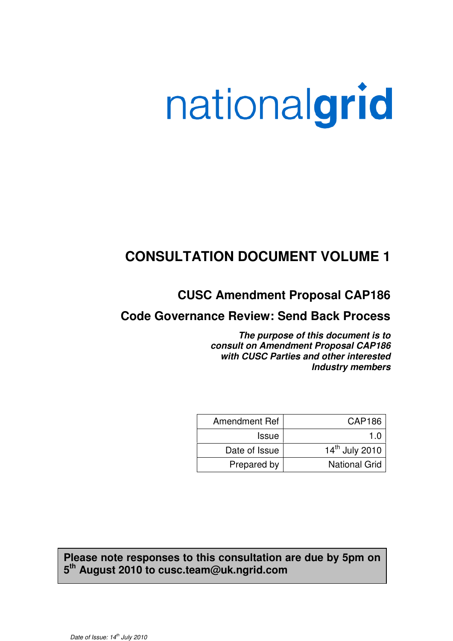# nationalgrid

## **CONSULTATION DOCUMENT VOLUME 1**

**CUSC Amendment Proposal CAP186**

## **Code Governance Review: Send Back Process**

**The purpose of this document is to consult on Amendment Proposal CAP186 with CUSC Parties and other interested Industry members** 

| Amendment Ref | <b>CAP186</b>              |
|---------------|----------------------------|
| <b>Issue</b>  |                            |
| Date of Issue | 14 <sup>th</sup> July 2010 |
| Prepared by   | <b>National Grid</b>       |

## **Please note responses to this consultation are due by 5pm on 5 th August 2010 to cusc.team@uk.ngrid.com**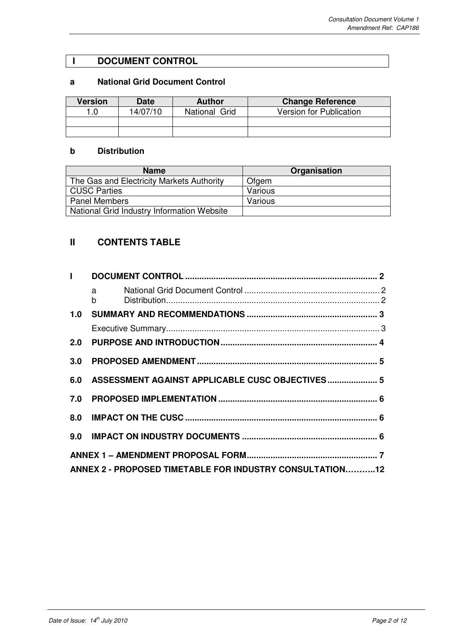### **I DOCUMENT CONTROL**

#### **a National Grid Document Control**

| <b>Version</b> | <b>Date</b> | <b>Author</b> | <b>Change Reference</b>        |
|----------------|-------------|---------------|--------------------------------|
|                | 14/07/10    | National Grid | <b>Version for Publication</b> |
|                |             |               |                                |
|                |             |               |                                |

#### **b Distribution**

| <b>Name</b>                                | Organisation |
|--------------------------------------------|--------------|
| The Gas and Electricity Markets Authority  | Ofgem        |
| <b>CUSC Parties</b>                        | Various      |
| <b>Panel Members</b>                       | Various      |
| National Grid Industry Information Website |              |

## **II CONTENTS TABLE**

| $\mathbf{L}$ |                                                          |  |
|--------------|----------------------------------------------------------|--|
|              | a a<br>$b \qquad \qquad$                                 |  |
| 1.0          |                                                          |  |
|              |                                                          |  |
| 2.0          |                                                          |  |
| 3.0          |                                                          |  |
| 6.0          | ASSESSMENT AGAINST APPLICABLE CUSC OBJECTIVES 5          |  |
| 7.0          |                                                          |  |
|              |                                                          |  |
|              |                                                          |  |
|              |                                                          |  |
|              | ANNEX 2 - PROPOSED TIMETABLE FOR INDUSTRY CONSULTATION12 |  |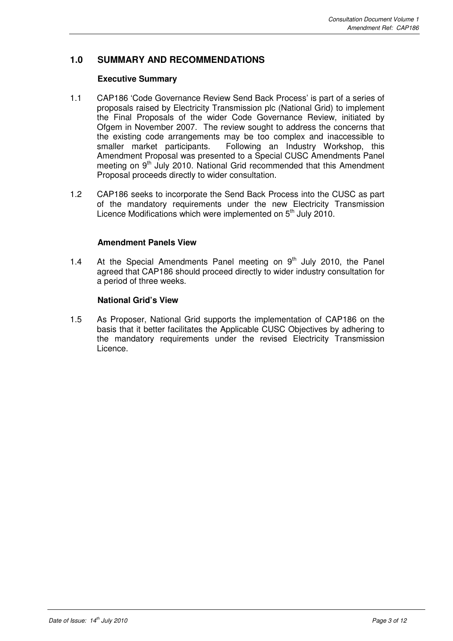#### **1.0 SUMMARY AND RECOMMENDATIONS**

#### **Executive Summary**

- 1.1 CAP186 'Code Governance Review Send Back Process' is part of a series of proposals raised by Electricity Transmission plc (National Grid) to implement the Final Proposals of the wider Code Governance Review, initiated by Ofgem in November 2007. The review sought to address the concerns that the existing code arrangements may be too complex and inaccessible to smaller market participants. Following an Industry Workshop, this Amendment Proposal was presented to a Special CUSC Amendments Panel meeting on 9<sup>th</sup> July 2010. National Grid recommended that this Amendment Proposal proceeds directly to wider consultation.
- 1.2 CAP186 seeks to incorporate the Send Back Process into the CUSC as part of the mandatory requirements under the new Electricity Transmission Licence Modifications which were implemented on 5<sup>th</sup> July 2010.

#### **Amendment Panels View**

1.4 At the Special Amendments Panel meeting on  $9<sup>th</sup>$  July 2010, the Panel agreed that CAP186 should proceed directly to wider industry consultation for a period of three weeks.

#### **National Grid's View**

1.5 As Proposer, National Grid supports the implementation of CAP186 on the basis that it better facilitates the Applicable CUSC Objectives by adhering to the mandatory requirements under the revised Electricity Transmission Licence.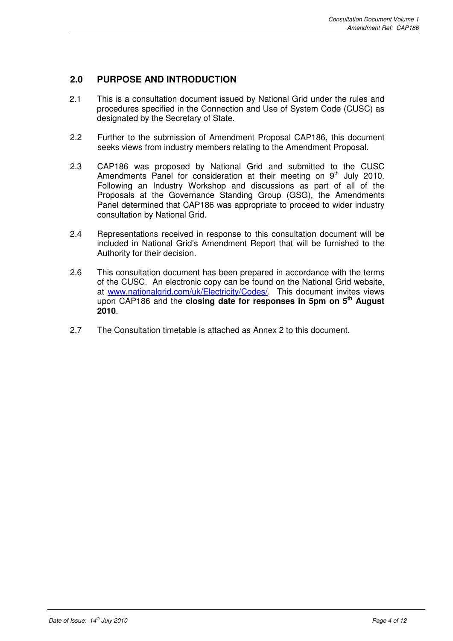#### **2.0 PURPOSE AND INTRODUCTION**

- 2.1 This is a consultation document issued by National Grid under the rules and procedures specified in the Connection and Use of System Code (CUSC) as designated by the Secretary of State.
- 2.2 Further to the submission of Amendment Proposal CAP186, this document seeks views from industry members relating to the Amendment Proposal.
- 2.3 CAP186 was proposed by National Grid and submitted to the CUSC Amendments Panel for consideration at their meeting on 9<sup>th</sup> July 2010. Following an Industry Workshop and discussions as part of all of the Proposals at the Governance Standing Group (GSG), the Amendments Panel determined that CAP186 was appropriate to proceed to wider industry consultation by National Grid.
- 2.4 Representations received in response to this consultation document will be included in National Grid's Amendment Report that will be furnished to the Authority for their decision.
- 2.6 This consultation document has been prepared in accordance with the terms of the CUSC. An electronic copy can be found on the National Grid website, at www.nationalgrid.com/uk/Electricity/Codes/. This document invites views upon CAP186 and the **closing date for responses in 5pm on 5th August 2010**.
- 2.7 The Consultation timetable is attached as Annex 2 to this document.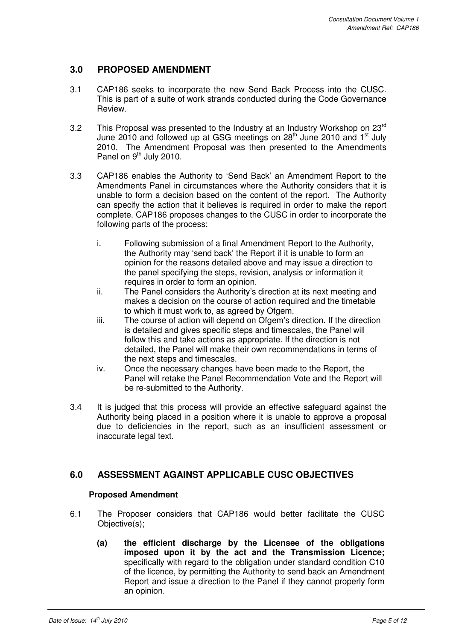#### **3.0 PROPOSED AMENDMENT**

- 3.1 CAP186 seeks to incorporate the new Send Back Process into the CUSC. This is part of a suite of work strands conducted during the Code Governance Review.
- 3.2 This Proposal was presented to the Industry at an Industry Workshop on  $23<sup>rd</sup>$ June 2010 and followed up at GSG meetings on  $28<sup>th</sup>$  June 2010 and  $1<sup>st</sup>$  July 2010. The Amendment Proposal was then presented to the Amendments Panel on  $9<sup>th</sup>$  July 2010.
- 3.3 CAP186 enables the Authority to 'Send Back' an Amendment Report to the Amendments Panel in circumstances where the Authority considers that it is unable to form a decision based on the content of the report. The Authority can specify the action that it believes is required in order to make the report complete. CAP186 proposes changes to the CUSC in order to incorporate the following parts of the process:
	- i. Following submission of a final Amendment Report to the Authority, the Authority may 'send back' the Report if it is unable to form an opinion for the reasons detailed above and may issue a direction to the panel specifying the steps, revision, analysis or information it requires in order to form an opinion.
	- ii. The Panel considers the Authority's direction at its next meeting and makes a decision on the course of action required and the timetable to which it must work to, as agreed by Ofgem.
	- iii. The course of action will depend on Ofgem's direction. If the direction is detailed and gives specific steps and timescales, the Panel will follow this and take actions as appropriate. If the direction is not detailed, the Panel will make their own recommendations in terms of the next steps and timescales.
	- iv. Once the necessary changes have been made to the Report, the Panel will retake the Panel Recommendation Vote and the Report will be re-submitted to the Authority.
- 3.4 It is judged that this process will provide an effective safeguard against the Authority being placed in a position where it is unable to approve a proposal due to deficiencies in the report, such as an insufficient assessment or inaccurate legal text.

#### **6.0 ASSESSMENT AGAINST APPLICABLE CUSC OBJECTIVES**

#### **Proposed Amendment**

- 6.1 The Proposer considers that CAP186 would better facilitate the CUSC Objective(s);
	- **(a) the efficient discharge by the Licensee of the obligations imposed upon it by the act and the Transmission Licence;**  specifically with regard to the obligation under standard condition C10 of the licence, by permitting the Authority to send back an Amendment Report and issue a direction to the Panel if they cannot properly form an opinion.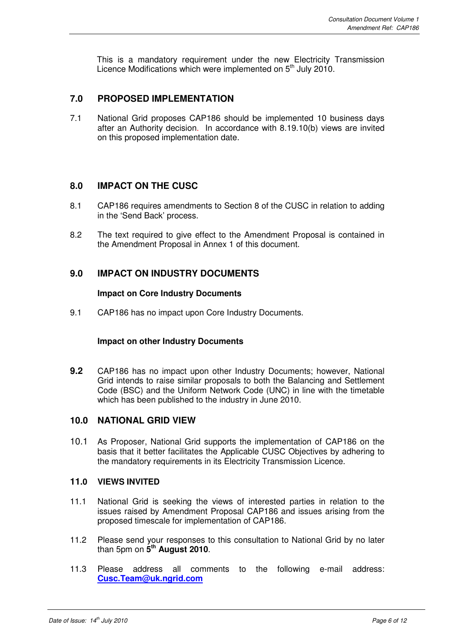This is a mandatory requirement under the new Electricity Transmission Licence Modifications which were implemented on  $5<sup>th</sup>$  July 2010.

#### **7.0 PROPOSED IMPLEMENTATION**

7.1 National Grid proposes CAP186 should be implemented 10 business days after an Authority decision. In accordance with 8.19.10(b) views are invited on this proposed implementation date.

#### **8.0 IMPACT ON THE CUSC**

- 8.1 CAP186 requires amendments to Section 8 of the CUSC in relation to adding in the 'Send Back' process.
- 8.2 The text required to give effect to the Amendment Proposal is contained in the Amendment Proposal in Annex 1 of this document.

#### **9.0 IMPACT ON INDUSTRY DOCUMENTS**

#### **Impact on Core Industry Documents**

9.1 CAP186 has no impact upon Core Industry Documents.

#### **Impact on other Industry Documents**

**9.2** CAP186 has no impact upon other Industry Documents; however, National Grid intends to raise similar proposals to both the Balancing and Settlement Code (BSC) and the Uniform Network Code (UNC) in line with the timetable which has been published to the industry in June 2010.

#### **10.0 NATIONAL GRID VIEW**

10.1 As Proposer, National Grid supports the implementation of CAP186 on the basis that it better facilitates the Applicable CUSC Objectives by adhering to the mandatory requirements in its Electricity Transmission Licence.

#### **11.0 VIEWS INVITED**

- 11.1 National Grid is seeking the views of interested parties in relation to the issues raised by Amendment Proposal CAP186 and issues arising from the proposed timescale for implementation of CAP186.
- 11.2 Please send your responses to this consultation to National Grid by no later than 5pm on **5 th August 2010**.
- 11.3 Please address all comments to the following e-mail address: **Cusc.Team@uk.ngrid.com**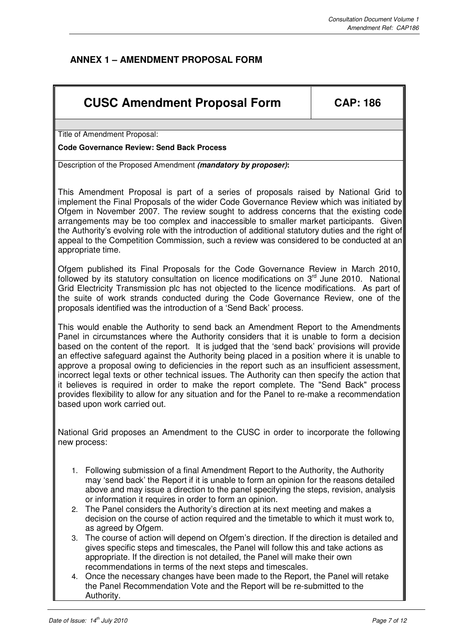## **ANNEX 1 – AMENDMENT PROPOSAL FORM**

## **CUSC Amendment Proposal Form CAP: 186**

Title of Amendment Proposal:

**Code Governance Review: Send Back Process** 

Description of the Proposed Amendment **(mandatory by proposer):**

This Amendment Proposal is part of a series of proposals raised by National Grid to implement the Final Proposals of the wider Code Governance Review which was initiated by Ofgem in November 2007. The review sought to address concerns that the existing code arrangements may be too complex and inaccessible to smaller market participants. Given the Authority's evolving role with the introduction of additional statutory duties and the right of appeal to the Competition Commission, such a review was considered to be conducted at an appropriate time.

Ofgem published its Final Proposals for the Code Governance Review in March 2010, followed by its statutory consultation on licence modifications on  $3<sup>rd</sup>$  June 2010. National Grid Electricity Transmission plc has not objected to the licence modifications. As part of the suite of work strands conducted during the Code Governance Review, one of the proposals identified was the introduction of a 'Send Back' process.

This would enable the Authority to send back an Amendment Report to the Amendments Panel in circumstances where the Authority considers that it is unable to form a decision based on the content of the report. It is judged that the 'send back' provisions will provide an effective safeguard against the Authority being placed in a position where it is unable to approve a proposal owing to deficiencies in the report such as an insufficient assessment, incorrect legal texts or other technical issues. The Authority can then specify the action that it believes is required in order to make the report complete. The "Send Back" process provides flexibility to allow for any situation and for the Panel to re-make a recommendation based upon work carried out.

National Grid proposes an Amendment to the CUSC in order to incorporate the following new process:

- 1. Following submission of a final Amendment Report to the Authority, the Authority may 'send back' the Report if it is unable to form an opinion for the reasons detailed above and may issue a direction to the panel specifying the steps, revision, analysis or information it requires in order to form an opinion.
- 2. The Panel considers the Authority's direction at its next meeting and makes a decision on the course of action required and the timetable to which it must work to, as agreed by Ofgem.
- 3. The course of action will depend on Ofgem's direction. If the direction is detailed and gives specific steps and timescales, the Panel will follow this and take actions as appropriate. If the direction is not detailed, the Panel will make their own recommendations in terms of the next steps and timescales.
- 4. Once the necessary changes have been made to the Report, the Panel will retake the Panel Recommendation Vote and the Report will be re-submitted to the Authority.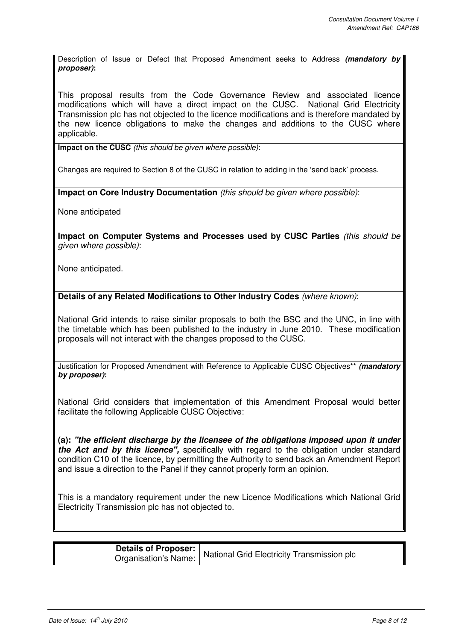Description of Issue or Defect that Proposed Amendment seeks to Address **(mandatory by proposer):** 

This proposal results from the Code Governance Review and associated licence modifications which will have a direct impact on the CUSC. National Grid Electricity Transmission plc has not objected to the licence modifications and is therefore mandated by the new licence obligations to make the changes and additions to the CUSC where applicable.

**Impact on the CUSC** (this should be given where possible):

Changes are required to Section 8 of the CUSC in relation to adding in the 'send back' process.

**Impact on Core Industry Documentation** (this should be given where possible):

None anticipated

**Impact on Computer Systems and Processes used by CUSC Parties** (this should be given where possible):

None anticipated.

**Details of any Related Modifications to Other Industry Codes** (where known):

National Grid intends to raise similar proposals to both the BSC and the UNC, in line with the timetable which has been published to the industry in June 2010. These modification proposals will not interact with the changes proposed to the CUSC.

Justification for Proposed Amendment with Reference to Applicable CUSC Objectives\*\* **(mandatory by proposer):**

National Grid considers that implementation of this Amendment Proposal would better facilitate the following Applicable CUSC Objective:

**(a): "the efficient discharge by the licensee of the obligations imposed upon it under the Act and by this licence",** specifically with regard to the obligation under standard condition C10 of the licence, by permitting the Authority to send back an Amendment Report and issue a direction to the Panel if they cannot properly form an opinion.

This is a mandatory requirement under the new Licence Modifications which National Grid Electricity Transmission plc has not objected to.

> **Details of Proposer:** Details of Proposer: National Grid Electricity Transmission plc<br>Organisation's Name: National Grid Electricity Transmission plc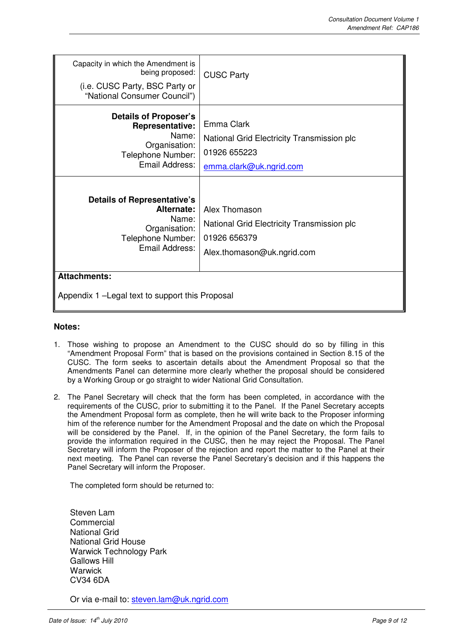| Capacity in which the Amendment is<br>being proposed:<br>(i.e. CUSC Party, BSC Party or<br>"National Consumer Council") | <b>CUSC Party</b>                                                                                         |  |
|-------------------------------------------------------------------------------------------------------------------------|-----------------------------------------------------------------------------------------------------------|--|
| <b>Details of Proposer's</b><br><b>Representative:</b><br>Name:<br>Organisation:<br>Telephone Number:<br>Email Address: | Emma Clark<br>National Grid Electricity Transmission plc<br>01926 655223<br>emma.clark@uk.ngrid.com       |  |
| <b>Details of Representative's</b><br>Alternate:<br>Name:<br>Organisation:<br>Telephone Number:<br>Email Address:       | Alex Thomason<br>National Grid Electricity Transmission plc<br>01926 656379<br>Alex.thomason@uk.ngrid.com |  |
| <b>Attachments:</b><br>Appendix 1 - Legal text to support this Proposal                                                 |                                                                                                           |  |

#### **Notes:**

- 1. Those wishing to propose an Amendment to the CUSC should do so by filling in this "Amendment Proposal Form" that is based on the provisions contained in Section 8.15 of the CUSC. The form seeks to ascertain details about the Amendment Proposal so that the Amendments Panel can determine more clearly whether the proposal should be considered by a Working Group or go straight to wider National Grid Consultation.
- 2. The Panel Secretary will check that the form has been completed, in accordance with the requirements of the CUSC, prior to submitting it to the Panel. If the Panel Secretary accepts the Amendment Proposal form as complete, then he will write back to the Proposer informing him of the reference number for the Amendment Proposal and the date on which the Proposal will be considered by the Panel. If, in the opinion of the Panel Secretary, the form fails to provide the information required in the CUSC, then he may reject the Proposal. The Panel Secretary will inform the Proposer of the rejection and report the matter to the Panel at their next meeting. The Panel can reverse the Panel Secretary's decision and if this happens the Panel Secretary will inform the Proposer.

The completed form should be returned to:

Steven Lam Commercial National Grid National Grid House Warwick Technology Park Gallows Hill **Warwick** CV34 6DA

Or via e-mail to: steven.lam@uk.ngrid.com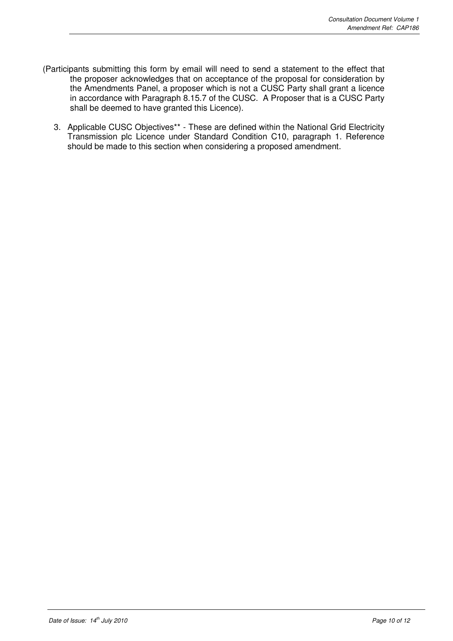- (Participants submitting this form by email will need to send a statement to the effect that the proposer acknowledges that on acceptance of the proposal for consideration by the Amendments Panel, a proposer which is not a CUSC Party shall grant a licence in accordance with Paragraph 8.15.7 of the CUSC. A Proposer that is a CUSC Party shall be deemed to have granted this Licence).
	- 3. Applicable CUSC Objectives\*\* These are defined within the National Grid Electricity Transmission plc Licence under Standard Condition C10, paragraph 1. Reference should be made to this section when considering a proposed amendment.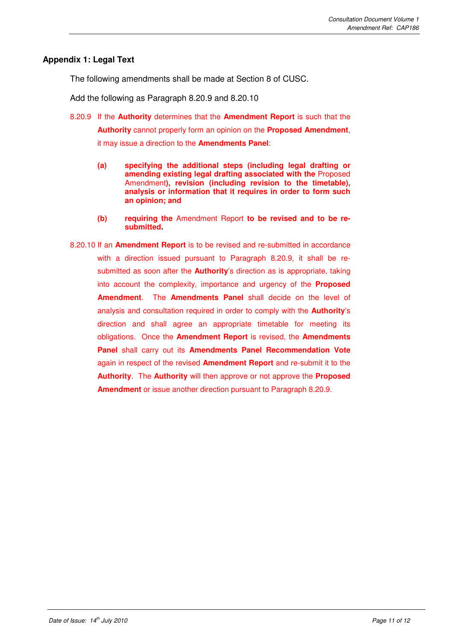#### **Appendix 1: Legal Text**

The following amendments shall be made at Section 8 of CUSC.

Add the following as Paragraph 8.20.9 and 8.20.10

- 8.20.9 If the **Authority** determines that the **Amendment Report** is such that the **Authority** cannot properly form an opinion on the **Proposed Amendment**, it may issue a direction to the **Amendments Panel**:
	- **(a) specifying the additional steps (including legal drafting or amending existing legal drafting associated with the** Proposed Amendment**), revision (including revision to the timetable), analysis or information that it requires in order to form such an opinion; and**
	- **(b) requiring the** Amendment Report **to be revised and to be resubmitted.**
- 8.20.10 If an **Amendment Report** is to be revised and re-submitted in accordance with a direction issued pursuant to Paragraph 8.20.9, it shall be resubmitted as soon after the **Authority**'s direction as is appropriate, taking into account the complexity, importance and urgency of the **Proposed Amendment**. The **Amendments Panel** shall decide on the level of analysis and consultation required in order to comply with the **Authority**'s direction and shall agree an appropriate timetable for meeting its obligations. Once the **Amendment Report** is revised, the **Amendments Panel** shall carry out its **Amendments Panel Recommendation Vote** again in respect of the revised **Amendment Report** and re-submit it to the **Authority**. The **Authority** will then approve or not approve the **Proposed Amendment** or issue another direction pursuant to Paragraph 8.20.9.